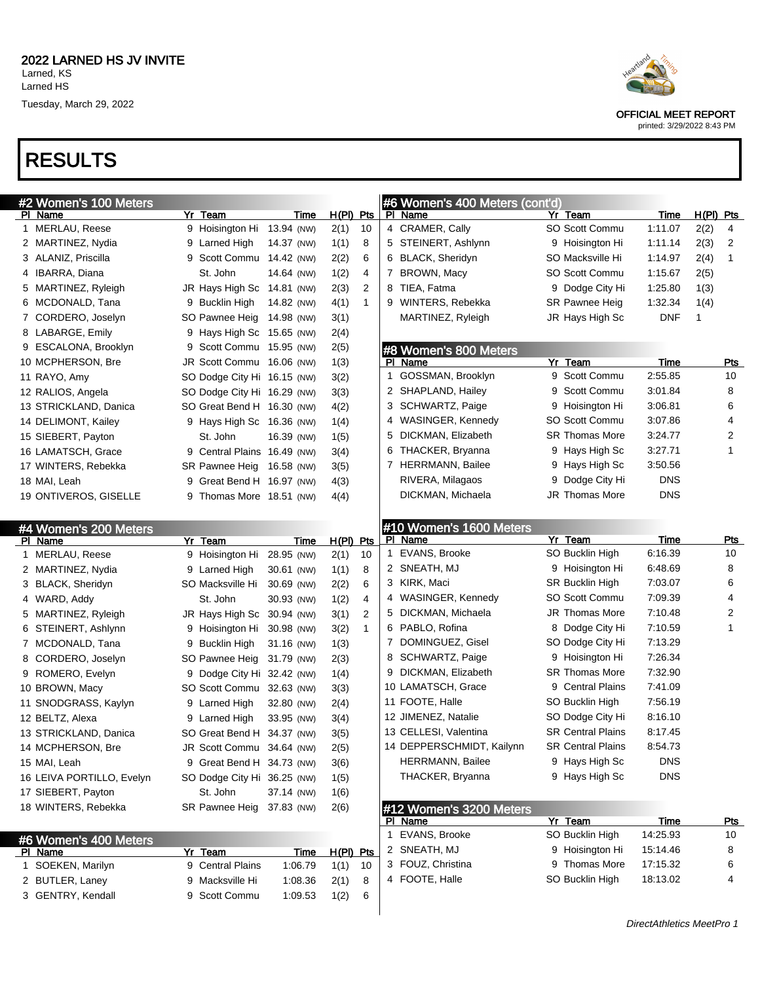

OFFICIAL MEET REPORT

printed: 3/29/2022 8:43 PM

#### RESULTS

| #2 Women's 100 Meters                     |                             |                          |             |              | #6 Women's 400 Meters (cont'd)               |                                       |                    |             |                |
|-------------------------------------------|-----------------------------|--------------------------|-------------|--------------|----------------------------------------------|---------------------------------------|--------------------|-------------|----------------|
| PI Name                                   | Yr Team                     | Time                     | $H(PI)$ Pts |              | PI Name                                      | Yr Team                               | Time               | $H(PI)$ Pts |                |
| 1 MERLAU, Reese                           | 9 Hoisington Hi 13.94 (NW)  |                          | 2(1)        | 10           | 4 CRAMER, Cally                              | SO Scott Commu                        | 1:11.07            | 2(2)        | 4              |
| 2 MARTINEZ, Nydia                         | 9 Larned High               | 14.37 (NW)               | 1(1)        | 8            | 5 STEINERT, Ashlynn                          | 9 Hoisington Hi                       | 1:11.14            | 2(3)        | $\overline{2}$ |
| 3 ALANIZ, Priscilla                       | 9 Scott Commu 14.42 (NW)    |                          | 2(2)        | 6            | 6 BLACK, Sheridyn                            | SO Macksville Hi                      | 1:14.97            | 2(4)        | 1              |
| 4 IBARRA, Diana                           | St. John                    | 14.64 (NW)               | 1(2)        | 4            | 7 BROWN, Macy                                | <b>SO Scott Commu</b>                 | 1:15.67            | 2(5)        |                |
| 5 MARTINEZ, Ryleigh                       | JR Hays High Sc 14.81 (NW)  |                          | 2(3)        | 2            | 8 TIEA, Fatma                                | 9 Dodge City Hi                       | 1:25.80            | 1(3)        |                |
| 6 MCDONALD, Tana                          | 9 Bucklin High              | 14.82 (NW)               | 4(1)        | $\mathbf{1}$ | 9 WINTERS, Rebekka                           | SR Pawnee Heig                        | 1:32.34            | 1(4)        |                |
| 7 CORDERO, Joselyn                        | SO Pawnee Heig 14.98 (NW)   |                          | 3(1)        |              | MARTINEZ, Ryleigh                            | JR Hays High Sc                       | <b>DNF</b>         | 1           |                |
| 8 LABARGE, Emily                          | 9 Hays High Sc 15.65 (NW)   |                          | 2(4)        |              |                                              |                                       |                    |             |                |
| 9 ESCALONA, Brooklyn                      | 9 Scott Commu 15.95 (NW)    |                          | 2(5)        |              | #8 Women's 800 Meters                        |                                       |                    |             |                |
| 10 MCPHERSON, Bre                         | JR Scott Commu 16.06 (NW)   |                          | 1(3)        |              | PI Name                                      | Yr Team                               | Time               |             | Pts            |
| 11 RAYO, Amy                              | SO Dodge City Hi 16.15 (NW) |                          | 3(2)        |              | 1 GOSSMAN, Brooklyn                          | 9 Scott Commu                         | 2:55.85            |             | 10             |
| 12 RALIOS, Angela                         | SO Dodge City Hi 16.29 (NW) |                          | 3(3)        |              | 2 SHAPLAND, Hailey                           | 9 Scott Commu                         | 3:01.84            |             | 8              |
| 13 STRICKLAND, Danica                     | SO Great Bend H 16.30 (NW)  |                          | 4(2)        |              | 3 SCHWARTZ, Paige                            | 9 Hoisington Hi                       | 3:06.81            |             | 6              |
| 14 DELIMONT, Kailey                       | 9 Hays High Sc 16.36 (NW)   |                          | 1(4)        |              | 4 WASINGER, Kennedy                          | SO Scott Commu                        | 3:07.86            |             | 4              |
| 15 SIEBERT, Payton                        | St. John                    | 16.39 (NW)               | 1(5)        |              | 5 DICKMAN, Elizabeth                         | SR Thomas More                        | 3:24.77            |             | 2              |
| 16 LAMATSCH, Grace                        | 9 Central Plains 16.49 (NW) |                          | 3(4)        |              | 6 THACKER, Bryanna                           | 9 Hays High Sc                        | 3:27.71            |             | 1              |
| 17 WINTERS, Rebekka                       | SR Pawnee Heig 16.58 (NW)   |                          | 3(5)        |              | 7 HERRMANN, Bailee                           | 9 Hays High Sc                        | 3:50.56            |             |                |
| 18 MAI, Leah                              | 9 Great Bend H 16.97 (NW)   |                          | 4(3)        |              | RIVERA, Milagaos                             | 9 Dodge City Hi                       | <b>DNS</b>         |             |                |
| 19 ONTIVEROS, GISELLE                     | 9 Thomas More 18.51 (NW)    |                          | 4(4)        |              | DICKMAN, Michaela                            | JR Thomas More                        | <b>DNS</b>         |             |                |
|                                           |                             |                          |             |              |                                              |                                       |                    |             |                |
| #4 Women's 200 Meters                     |                             |                          |             |              | #10 Women's 1600 Meters                      |                                       |                    |             |                |
| PI Name                                   | Yr Team                     | Time                     | $H(PI)$ Pts |              | PI Name                                      | Yr Team                               | Time               |             | <u>Pts</u>     |
| 1 MERLAU, Reese                           | 9 Hoisington Hi 28.95 (NW)  |                          | 2(1)        | 10           | 1 EVANS, Brooke                              | SO Bucklin High                       | 6:16.39            |             | 10             |
| 2 MARTINEZ, Nydia                         | 9 Larned High               | 30.61 (NW)               | 1(1)        | 8            | 2 SNEATH, MJ                                 | 9 Hoisington Hi                       | 6:48.69            |             | 8              |
| 3 BLACK, Sheridyn                         | SO Macksville Hi            | 30.69 (NW)               | 2(2)        | 6            | 3 KIRK, Maci                                 | SR Bucklin High                       | 7:03.07            |             | 6              |
| 4 WARD, Addy                              | St. John                    | 30.93 (NW)               | 1(2)        | 4            | 4 WASINGER, Kennedy                          | SO Scott Commu                        | 7:09.39            |             | 4              |
| 5 MARTINEZ, Ryleigh                       | JR Hays High Sc 30.94 (NW)  |                          | 3(1)        | 2            | 5 DICKMAN, Michaela                          | JR Thomas More                        | 7:10.48            |             | 2              |
| 6 STEINERT, Ashlynn                       | 9 Hoisington Hi 30.98 (NW)  |                          | 3(2)        | $\mathbf{1}$ | 6 PABLO, Rofina                              | 8 Dodge City Hi                       | 7:10.59            |             |                |
| 7 MCDONALD, Tana                          | 9 Bucklin High              | 31.16 (NW)               | 1(3)        |              | 7 DOMINGUEZ, Gisel                           | SO Dodge City Hi                      | 7:13.29            |             |                |
| 8 CORDERO, Joselyn                        | SO Pawnee Heig              | 31.79 (NW)               | 2(3)        |              | 8 SCHWARTZ, Paige                            | 9 Hoisington Hi                       | 7:26.34            |             |                |
| 9 ROMERO, Evelyn                          | 9 Dodge City Hi 32.42 (NW)  |                          | 1(4)        |              | 9 DICKMAN, Elizabeth                         | SR Thomas More                        | 7:32.90<br>7:41.09 |             |                |
| 10 BROWN, Macy                            | SO Scott Commu 32.63 (NW)   |                          | 3(3)        |              | 10 LAMATSCH, Grace                           | 9 Central Plains                      | 7:56.19            |             |                |
| 11 SNODGRASS, Kaylyn                      | 9 Larned High               | 32.80 (NW)               | 2(4)        |              | 11 FOOTE, Halle                              | SO Bucklin High                       |                    |             |                |
| 12 BELTZ, Alexa                           | 9 Larned High               | 33.95 (NW)               | 3(4)        |              | 12 JIMENEZ, Natalie<br>13 CELLESI, Valentina | SO Dodge City Hi<br>SR Central Plains | 8:16.10            |             |                |
| 13 STRICKLAND, Danica                     | SO Great Bend H 34.37 (NW)  |                          | 3(5)        |              | 14 DEPPERSCHMIDT, Kailynn                    | <b>SR Central Plains</b>              | 8:17.45<br>8:54.73 |             |                |
| 14 MCPHERSON, Bre                         | JR Scott Commu 34.64 (NW)   |                          | 2(5)        |              | <b>HERRMANN, Bailee</b>                      | 9 Hays High Sc                        | <b>DNS</b>         |             |                |
| 15 MAI, Leah                              | 9 Great Bend H 34.73 (NW)   |                          | 3(6)        |              | THACKER, Bryanna                             | 9 Hays High Sc                        | <b>DNS</b>         |             |                |
| 16 LEIVA PORTILLO, Evelyn                 | SO Dodge City Hi 36.25 (NW) |                          | 1(5)        |              |                                              |                                       |                    |             |                |
| 17 SIEBERT, Payton<br>18 WINTERS, Rebekka | St. John                    | 37.14 (NW)<br>37.83 (NW) | 1(6)        |              |                                              |                                       |                    |             |                |
|                                           | SR Pawnee Heig              |                          | 2(6)        |              | #12 Women's 3200 Meters<br>PI Name           | Yr Team                               | <b>Time</b>        |             | <b>Pts</b>     |
|                                           |                             |                          |             |              | 1 EVANS, Brooke                              | SO Bucklin High                       | 14:25.93           |             | 10             |
| #6 Women's 400 Meters<br>PI Name          | <u>Yr Team</u>              | <u>Time</u>              | $H(PI)$ Pts |              | 2 SNEATH, MJ                                 | 9 Hoisington Hi                       | 15:14.46           |             | 8              |
| 1 SOEKEN, Marilyn                         | 9 Central Plains            | 1:06.79                  | 1(1)        | 10           | 3 FOUZ, Christina                            | 9 Thomas More                         | 17:15.32           |             | 6              |
| 2 BUTLER, Laney                           | 9 Macksville Hi             | 1:08.36                  | 2(1)        | 8            | 4 FOOTE, Halle                               | SO Bucklin High                       | 18:13.02           |             | 4              |
| 3 GENTRY, Kendall                         | 9 Scott Commu               | 1:09.53                  | 1(2)        | 6            |                                              |                                       |                    |             |                |
|                                           |                             |                          |             |              |                                              |                                       |                    |             |                |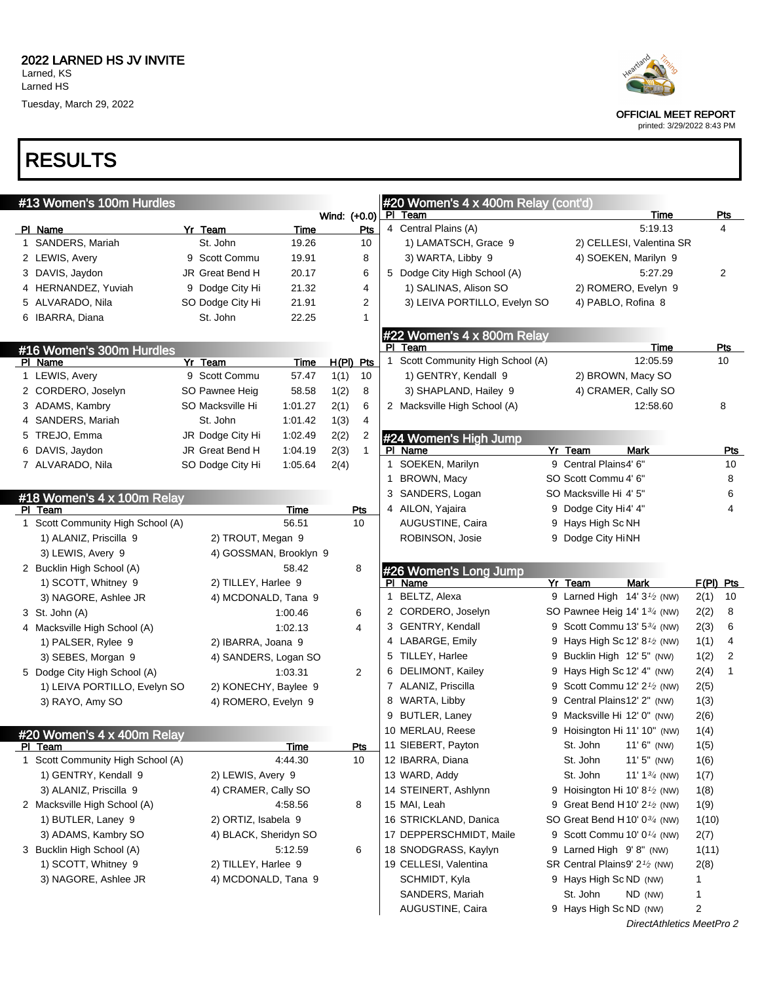## RESULTS

| #13 Women's 100m Hurdles          |                        |         |              |              |    | #20 Women's 4 x 400m Relay (cont'd) |                                                       |             |                |
|-----------------------------------|------------------------|---------|--------------|--------------|----|-------------------------------------|-------------------------------------------------------|-------------|----------------|
|                                   |                        |         | Wind: (+0.0) |              |    | PI Team                             | Time                                                  |             | Pts            |
| PI Name                           | Yr Team                | Time    |              | Pts          |    | 4 Central Plains (A)                | 5:19.13                                               |             | 4              |
| 1 SANDERS, Mariah                 | St. John               | 19.26   |              | 10           |    | 1) LAMATSCH, Grace 9                | 2) CELLESI, Valentina SR                              |             |                |
| 2 LEWIS, Avery                    | 9 Scott Commu          | 19.91   |              | 8            |    | 3) WARTA, Libby 9                   | 4) SOEKEN, Marilyn 9                                  |             |                |
| 3 DAVIS, Jaydon                   | JR Great Bend H        | 20.17   |              | 6            |    | 5 Dodge City High School (A)        | 5:27.29                                               |             | 2              |
| 4 HERNANDEZ, Yuviah               | 9 Dodge City Hi        | 21.32   |              | 4            |    | 1) SALINAS, Alison SO               | 2) ROMERO, Evelyn 9                                   |             |                |
| 5 ALVARADO, Nila                  | SO Dodge City Hi       | 21.91   |              | 2            |    | 3) LEIVA PORTILLO, Evelyn SO        | 4) PABLO, Rofina 8                                    |             |                |
| 6 IBARRA, Diana                   | St. John               | 22.25   |              | $\mathbf{1}$ |    |                                     |                                                       |             |                |
|                                   |                        |         |              |              |    | #22 Women's 4 x 800m Relay          |                                                       |             |                |
| #16 Women's 300m Hurdles          |                        |         |              |              |    | PI Team                             | Time                                                  |             | <b>Pts</b>     |
| PI Name                           | Yr Team                | Time    | $H(PI)$ Pts  |              |    | 1 Scott Community High School (A)   | 12:05.59                                              |             | 10             |
| 1 LEWIS, Avery                    | 9 Scott Commu          | 57.47   | 1(1)         | 10           |    | 1) GENTRY, Kendall 9                | 2) BROWN, Macy SO                                     |             |                |
| 2 CORDERO, Joselyn                | SO Pawnee Heig         | 58.58   | 1(2)         | 8            |    | 3) SHAPLAND, Hailey 9               | 4) CRAMER, Cally SO                                   |             |                |
| 3 ADAMS, Kambry                   | SO Macksville Hi       | 1:01.27 | 2(1)         | 6            |    | 2 Macksville High School (A)        | 12:58.60                                              |             | 8              |
| 4 SANDERS, Mariah                 | St. John               | 1.01.42 | 1(3)         | 4            |    |                                     |                                                       |             |                |
| 5 TREJO, Emma                     | JR Dodge City Hi       | 1:02.49 | 2(2)         | 2            |    | #24 Women's High Jump               |                                                       |             |                |
| 6 DAVIS, Jaydon                   | JR Great Bend H        | 1:04.19 | 2(3)         | $\mathbf{1}$ |    | PI Name                             | Yr Team<br>Mark                                       |             | Pts            |
| 7 ALVARADO, Nila                  | SO Dodge City Hi       | 1:05.64 | 2(4)         |              |    | 1 SOEKEN, Marilyn                   | 9 Central Plains4' 6"                                 |             | 10             |
|                                   |                        |         |              |              | 1. | BROWN, Macy                         | SO Scott Commu 4' 6"                                  |             | 8              |
| #18 Women's 4 x 100m Relay        |                        |         |              |              |    | 3 SANDERS, Logan                    | SO Macksville Hi 4' 5"                                |             | 6              |
| PI Team                           |                        | Time    |              | Pts          |    | 4 AILON, Yajaira                    | 9 Dodge City Hi4' 4"                                  |             | 4              |
| 1 Scott Community High School (A) |                        | 56.51   |              | 10           |    | AUGUSTINE, Caira                    | 9 Hays High Sc NH                                     |             |                |
| 1) ALANIZ, Priscilla 9            | 2) TROUT, Megan 9      |         |              |              |    | ROBINSON, Josie                     | 9 Dodge City HiNH                                     |             |                |
| 3) LEWIS, Avery 9                 | 4) GOSSMAN, Brooklyn 9 |         |              |              |    |                                     |                                                       |             |                |
| 2 Bucklin High School (A)         |                        | 58.42   |              | 8            |    | #26 Women's Long Jump               |                                                       |             |                |
| 1) SCOTT, Whitney 9               | 2) TILLEY, Harlee 9    |         |              |              |    | PI Name                             | Yr Team<br><b>Mark</b>                                | $F(PI)$ Pts |                |
| 3) NAGORE, Ashlee JR              | 4) MCDONALD, Tana 9    |         |              |              |    | 1 BELTZ, Alexa                      | 9 Larned High $14'3'$ (NW)                            | 2(1)        | 10             |
| 3 St. John (A)                    |                        | 1:00.46 |              | 6            |    | 2 CORDERO, Joselyn                  | SO Pawnee Heig 14' 13/4 (NW)                          | 2(2)        | 8              |
| 4 Macksville High School (A)      |                        | 1:02.13 |              | 4            |    | 3 GENTRY, Kendall                   | 9 Scott Commu 13' 5 <sup>3/4</sup> (NW)               | 2(3)        | 6              |
| 1) PALSER, Rylee 9                | 2) IBARRA, Joana 9     |         |              |              |    | 4 LABARGE, Emily                    | 9 Hays High Sc 12' 8 <sup>1</sup> / <sub>2</sub> (NW) | 1(1)        | 4              |
| 3) SEBES, Morgan 9                | 4) SANDERS, Logan SO   |         |              |              |    | 5 TILLEY, Harlee                    | 9 Bucklin High 12' 5" (NW)                            | 1(2)        | $\overline{2}$ |
| 5 Dodge City High School (A)      |                        | 1:03.31 |              | 2            |    | 6 DELIMONT, Kailey                  | 9 Hays High Sc 12' 4" (NW)                            | 2(4)        | $\mathbf{1}$   |
| 1) LEIVA PORTILLO, Evelyn SO      | 2) KONECHY, Baylee 9   |         |              |              |    | 7 ALANIZ, Priscilla                 | 9 Scott Commu 12' 2 <sup>1</sup> / <sub>2</sub> (NW)  | 2(5)        |                |
|                                   |                        |         |              |              |    | 8 WARTA, Libby                      | 9 Central Plains12' 2" (NW)                           | 1(3)        |                |
| 3) RAYO, Amy SO                   | 4) ROMERO, Evelyn 9    |         |              |              |    | 9 BUTLER, Laney                     | 9 Macksville Hi 12' 0" (NW)                           |             |                |
|                                   |                        |         |              |              |    | 10 MERLAU, Reese                    |                                                       | 2(6)        |                |
| #20 Women's 4 x 400m Relay        |                        |         |              |              |    |                                     | 9 Hoisington Hi 11' 10" (NW)                          | 1(4)        |                |
| PI Team                           |                        | Time    |              | Pts          |    | 11 SIEBERT, Payton                  | St. John<br>$11'6''$ (NW)                             | 1(5)        |                |
| Scott Community High School (A)   |                        | 4:44.30 |              | 10           |    | 12 IBARRA, Diana                    | St. John<br>$11'5''$ (NW)                             | 1(6)        |                |
| 1) GENTRY, Kendall 9              | 2) LEWIS, Avery 9      |         |              |              |    | 13 WARD, Addy                       | St. John<br>11' 1 <sup>3/4</sup> (NW)                 | 1(7)        |                |
| 3) ALANIZ, Priscilla 9            | 4) CRAMER, Cally SO    |         |              |              |    | 14 STEINERT, Ashlynn                | 9 Hoisington Hi 10' 8 $\frac{1}{2}$ (NW)              | 1(8)        |                |
| 2 Macksville High School (A)      |                        | 4:58.56 |              | 8            |    | 15 MAI, Leah                        | 9 Great Bend H10' 2 <sup>1</sup> / <sub>2</sub> (NW)  | 1(9)        |                |
| 1) BUTLER, Laney 9                | 2) ORTIZ, Isabela 9    |         |              |              |    | 16 STRICKLAND, Danica               | SO Great Bend H10' 0 <sup>3/4</sup> (NW)              | 1(10)       |                |
| 3) ADAMS, Kambry SO               | 4) BLACK, Sheridyn SO  |         |              |              |    | 17 DEPPERSCHMIDT, Maile             | 9 Scott Commu 10' $0\frac{1}{4}$ (NW)                 | 2(7)        |                |
| 3 Bucklin High School (A)         |                        | 5:12.59 |              | 6            |    | 18 SNODGRASS, Kaylyn                | 9 Larned High 9'8" (NW)                               | 1(11)       |                |
| 1) SCOTT, Whitney 9               | 2) TILLEY, Harlee 9    |         |              |              |    | 19 CELLESI, Valentina               | SR Central Plains9' 2 <sup>1/2</sup> (NW)             | 2(8)        |                |
| 3) NAGORE, Ashlee JR              | 4) MCDONALD, Tana 9    |         |              |              |    | SCHMIDT, Kyla                       | 9 Hays High Sc ND (NW)                                | 1           |                |
|                                   |                        |         |              |              |    | SANDERS, Mariah                     | St. John<br>ND (NW)                                   | 1           |                |
|                                   |                        |         |              |              |    | AUGUSTINE, Caira                    | 9 Hays High Sc ND (NW)                                | 2           |                |



OFFICIAL MEET REPORT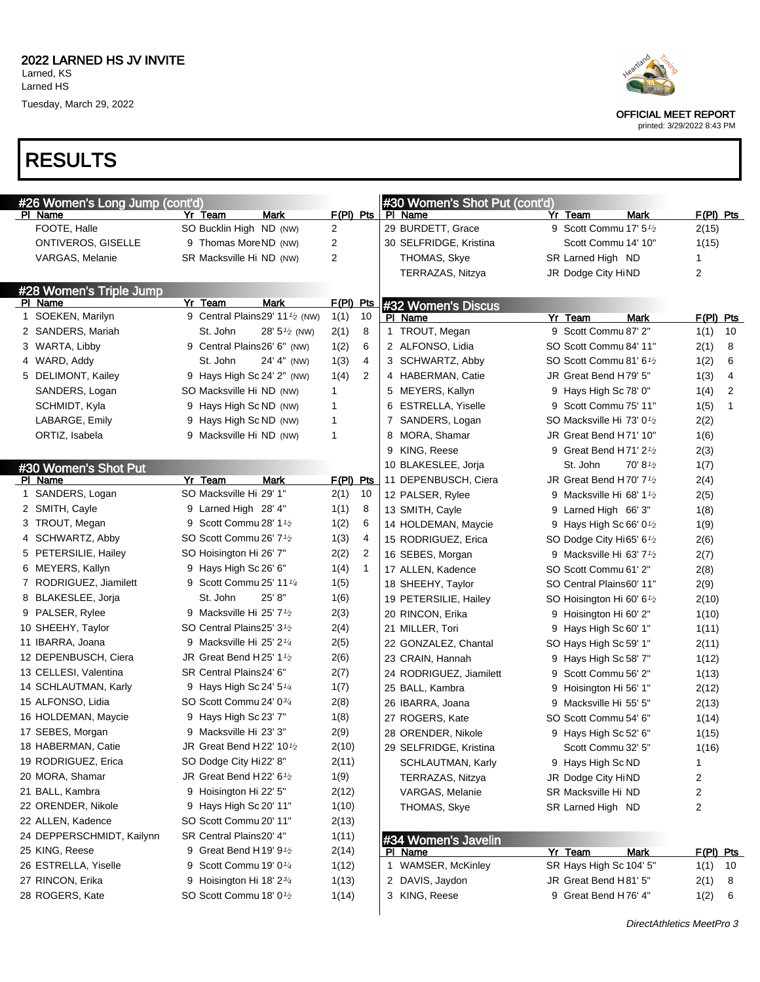

OFFICIAL MEET REPORT

printed: 3/29/2022 8:43 PM

#### RESULTS

| #26 Women's Long Jump (cont'd) |                                                 |                                      | #30 Women's Shot Put (cont'd) |                                                 |                            |
|--------------------------------|-------------------------------------------------|--------------------------------------|-------------------------------|-------------------------------------------------|----------------------------|
| PI Name                        | Yr Team<br>Mark                                 | $F(PI)$ Pts                          | PI Name                       | Yr Team                                         | Mark<br>$F(PI)$ Pts        |
| FOOTE, Halle                   | SO Bucklin High ND (NW)                         | 2                                    | 29 BURDETT, Grace             | 9 Scott Commu 17' 5 <sup>1</sup> / <sub>2</sub> | 2(15)                      |
| ONTIVEROS, GISELLE             | 9 Thomas MoreND (NW)                            | 2                                    | 30 SELFRIDGE, Kristina        | Scott Commu 14' 10"                             | 1(15)                      |
| VARGAS, Melanie                | SR Macksville Hi ND (NW)                        | 2                                    | THOMAS, Skye                  | SR Larned High ND                               |                            |
|                                |                                                 |                                      | TERRAZAS, Nitzya              | JR Dodge City HiND                              | 2                          |
| #28 Women's Triple Jump        |                                                 |                                      |                               |                                                 |                            |
| PI Name                        | Mark<br>Yr Team                                 | $F(PI)$ Pts                          | #32 Women's Discus            |                                                 |                            |
| 1 SOEKEN, Marilyn              | 9 Central Plains29' 11 <sup>1</sup> /2 (NW)     | 1(1)<br>10                           | PI Name                       | Yr Team                                         | $F(PI)$ Pts<br>Mark        |
| 2 SANDERS, Mariah              | St. John                                        | 28' $5\frac{1}{2}$ (NW)<br>2(1)<br>8 | 1 TROUT, Megan                | 9 Scott Commu 87' 2"                            | 10<br>1(1)                 |
| 3 WARTA, Libby                 | 9 Central Plains26' 6" (NW)                     | 6<br>1(2)                            | 2 ALFONSO, Lidia              | SO Scott Commu 84' 11"                          | 2(1)<br>8                  |
| 4 WARD, Addy                   | St. John                                        | 4<br>24' 4" (NW)<br>1(3)             | 3 SCHWARTZ, Abby              | SO Scott Commu 81' 61/2                         | 1(2)<br>6                  |
| 5 DELIMONT, Kailey             | 9 Hays High Sc 24' 2" (NW)                      | 2<br>1(4)                            | 4 HABERMAN, Catie             | JR Great Bend H79' 5"                           | 1(3)<br>4                  |
| SANDERS, Logan                 | SO Macksville Hi ND (NW)                        | 1                                    | 5 MEYERS, Kallyn              | 9 Hays High Sc 78' 0"                           | 1(4)<br>2                  |
| SCHMIDT, Kyla                  | 9 Hays High Sc ND (NW)                          | 1                                    | 6 ESTRELLA, Yiselle           | 9 Scott Commu 75' 11"                           | 1(5)<br>$\mathbf{1}$       |
| LABARGE, Emily                 | 9 Hays High Sc ND (NW)                          | 1                                    | 7 SANDERS, Logan              | SO Macksville Hi 73' 01/2                       | 2(2)                       |
| ORTIZ, Isabela                 | 9 Macksville Hi ND (NW)                         | 1                                    | 8 MORA, Shamar                | JR Great Bend H71' 10"                          | 1(6)                       |
|                                |                                                 |                                      | 9 KING, Reese                 | 9 Great Bend H71' $2\frac{1}{2}$                | 2(3)                       |
| #30 Women's Shot Put           |                                                 |                                      | 10 BLAKESLEE, Jorja           | St. John                                        | $70' 8\frac{1}{2}$<br>1(7) |
| PI Name                        | Yr Team<br>Mark                                 | $F(PI)$ Pts                          | 11 DEPENBUSCH, Ciera          | JR Great Bend H70' 7 <sup>1</sup> /2            | 2(4)                       |
| 1 SANDERS, Logan               | SO Macksville Hi 29' 1"                         | 2(1)<br>10                           | 12 PALSER, Rylee              | 9 Macksville Hi 68' 1 <sup>1</sup> /2           | 2(5)                       |
| 2 SMITH, Cayle                 | 9 Larned High 28' 4"                            | 1(1)<br>8                            | 13 SMITH, Cayle               | 9 Larned High 66' 3"                            | 1(8)                       |
| 3 TROUT, Megan                 | 9 Scott Commu 28' 1 <sup>1</sup> / <sub>2</sub> | 1(2)<br>6                            | 14 HOLDEMAN, Maycie           | 9 Hays High Sc 66' $0\frac{1}{2}$               | 1(9)                       |
| 4 SCHWARTZ, Abby               | SO Scott Commu 26' 7 <sup>1</sup> /2            | 1(3)<br>4                            | 15 RODRIGUEZ, Erica           | SO Dodge City Hi65' 6 <sup>1</sup> /2           | 2(6)                       |
| 5 PETERSILIE, Hailey           | SO Hoisington Hi 26' 7"                         | 2(2)<br>2                            | 16 SEBES, Morgan              | 9 Macksville Hi 63' $7\frac{1}{2}$              | 2(7)                       |
| 6 MEYERS, Kallyn               | 9 Hays High Sc 26' 6"                           | 1(4)<br>$\mathbf{1}$                 | 17 ALLEN, Kadence             | SO Scott Commu 61' 2"                           | 2(8)                       |
| 7 RODRIGUEZ, Jiamilett         | 9 Scott Commu 25' 11 1/4                        | 1(5)                                 | 18 SHEEHY, Taylor             | SO Central Plains60' 11"                        | 2(9)                       |
| 8 BLAKESLEE, Jorja             | 25' 8"<br>St. John                              | 1(6)                                 | 19 PETERSILIE, Hailey         | SO Hoisington Hi 60' 6 <sup>1/2</sup>           | 2(10)                      |
| 9 PALSER, Rylee                | 9 Macksville Hi 25' 7 <sup>1</sup> /2           | 2(3)                                 | 20 RINCON, Erika              | 9 Hoisington Hi 60' 2"                          | 1(10)                      |
| 10 SHEEHY, Taylor              | SO Central Plains25' 31/2                       | 2(4)                                 | 21 MILLER, Tori               | 9 Hays High Sc 60' 1"                           | 1(11)                      |
| 11 IBARRA, Joana               | 9 Macksville Hi 25' 2 $\frac{1}{4}$             | 2(5)                                 | 22 GONZALEZ, Chantal          | SO Hays High Sc 59' 1"                          | 2(11)                      |
| 12 DEPENBUSCH, Ciera           | JR Great Bend H25' 1 $\frac{1}{2}$              | 2(6)                                 | 23 CRAIN, Hannah              | 9 Hays High Sc 58' 7"                           | 1(12)                      |
| 13 CELLESI, Valentina          | SR Central Plains24' 6"                         | 2(7)                                 | 24 RODRIGUEZ, Jiamilett       | 9 Scott Commu 56' 2"                            | 1(13)                      |
| 14 SCHLAUTMAN, Karly           | 9 Hays High Sc 24' 5 <sup>1/4</sup>             | 1(7)                                 | 25 BALL, Kambra               | 9 Hoisington Hi 56' 1"                          | 2(12)                      |
| 15 ALFONSO, Lidia              | SO Scott Commu 24' 034                          | 2(8)                                 | 26 IBARRA, Joana              | 9 Macksville Hi 55' 5"                          | 2(13)                      |
| 16 HOLDEMAN, Maycie            | 9 Hays High Sc 23' 7"                           | 1(8)                                 | 27 ROGERS, Kate               | SO Scott Commu 54' 6"                           | 1(14)                      |
| 17 SEBES, Morgan               | 9 Macksville Hi 23' 3"                          | 2(9)                                 | 28 ORENDER, Nikole            | 9 Hays High Sc 52' 6"                           | 1(15)                      |
| 18 HABERMAN, Catie             | JR Great Bend H22' 10 <sup>1</sup> /2           | 2(10)                                | 29 SELFRIDGE, Kristina        | Scott Commu 32' 5"                              | 1(16)                      |
| 19 RODRIGUEZ, Erica            | SO Dodge City Hi22' 8"                          | 2(11)                                | SCHLAUTMAN, Karly             | 9 Hays High Sc ND                               | 1                          |
| 20 MORA, Shamar                | JR Great Bend H22' $6\frac{1}{2}$               | 1(9)                                 | TERRAZAS, Nitzya              | JR Dodge City HiND                              | 2                          |
| 21 BALL, Kambra                | 9 Hoisington Hi 22' 5"                          | 2(12)                                | VARGAS, Melanie               | SR Macksville Hi ND                             | 2                          |
| 22 ORENDER, Nikole             | 9 Hays High Sc 20' 11"                          | 1(10)                                | THOMAS, Skye                  | SR Larned High ND                               | 2                          |
| 22 ALLEN, Kadence              | SO Scott Commu 20' 11"                          | 2(13)                                |                               |                                                 |                            |
| 24 DEPPERSCHMIDT, Kailynn      | SR Central Plains20' 4"                         | 1(11)                                | #34 Women's Javelin           |                                                 |                            |
| 25 KING, Reese                 | 9 Great Bend H19' 9 <sup>1</sup> /2             | 2(14)                                | PI Name                       | Yr Team                                         | <b>Mark</b><br>$F(PI)$ Pts |
| 26 ESTRELLA, Yiselle           | 9 Scott Commu 19' 01/4                          | 1(12)                                | 1 WAMSER, McKinley            | SR Hays High Sc 104' 5"                         | 1(1)<br>10                 |
| 27 RINCON, Erika               | 9 Hoisington Hi 18' 23/4                        | 1(13)                                | 2 DAVIS, Jaydon               | JR Great Bend H81' 5"                           | 2(1)<br>8                  |
| 28 ROGERS, Kate                | SO Scott Commu 18' 0 <sup>1</sup> /2            | 1(14)                                | 3 KING, Reese                 | 9 Great Bend H76' 4"                            | 1(2)<br>6                  |
|                                |                                                 |                                      |                               |                                                 |                            |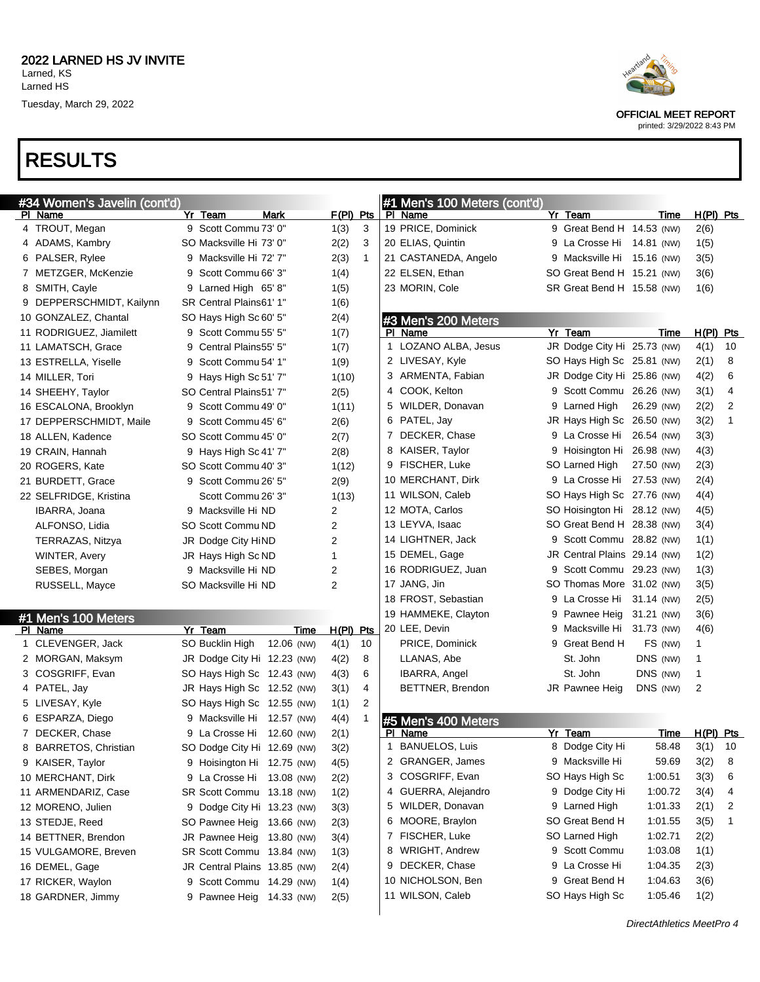## RESULTS

| #34 Women's Javelin (cont'd)         |                              |                        |             |                |    | #1 Men's 100 Meters (cont'd)          |                                   |                    |                |              |
|--------------------------------------|------------------------------|------------------------|-------------|----------------|----|---------------------------------------|-----------------------------------|--------------------|----------------|--------------|
| PI Name                              | Yr Team                      | Mark                   | F(PI) Pts   |                |    | PI Name                               | Yr Team                           | Time               | $H(PI)$ Pts    |              |
| 4 TROUT, Megan                       | 9 Scott Commu 73' 0"         |                        | 1(3)        | 3              |    | 19 PRICE, Dominick                    | 9 Great Bend H 14.53 (NW)         |                    | 2(6)           |              |
| 4 ADAMS, Kambry                      | SO Macksville Hi 73' 0"      |                        | 2(2)        | 3              |    | 20 ELIAS, Quintin                     | 9 La Crosse Hi 14.81 (NW)         |                    | 1(5)           |              |
| 6 PALSER, Rylee                      | 9 Macksville Hi 72' 7"       |                        | 2(3)        | $\mathbf{1}$   |    | 21 CASTANEDA, Angelo                  | 9 Macksville Hi 15.16 (NW)        |                    | 3(5)           |              |
| 7 METZGER, McKenzie                  | Scott Commu 66' 3"<br>9      |                        | 1(4)        |                |    | 22 ELSEN, Ethan                       | SO Great Bend H 15.21 (NW)        |                    | 3(6)           |              |
| 8 SMITH, Cayle                       | 9 Larned High 65'8"          |                        | 1(5)        |                |    | 23 MORIN, Cole                        | SR Great Bend H 15.58 (NW)        |                    | 1(6)           |              |
| 9 DEPPERSCHMIDT, Kailynn             | SR Central Plains61' 1"      |                        | 1(6)        |                |    |                                       |                                   |                    |                |              |
| 10 GONZALEZ, Chantal                 | SO Hays High Sc 60' 5"       |                        | 2(4)        |                |    | #3 Men's 200 Meters                   |                                   |                    |                |              |
| 11 RODRIGUEZ, Jiamilett              | 9 Scott Commu 55' 5"         |                        | 1(7)        |                |    | PI Name                               | Yr Team                           | Time               | $H(PI)$ Pts    |              |
| 11 LAMATSCH, Grace                   | Central Plains55' 5"<br>9    |                        | 1(7)        |                |    | 1 LOZANO ALBA, Jesus                  | JR Dodge City Hi 25.73 (NW)       |                    | 4(1)           | 10           |
| 13 ESTRELLA, Yiselle                 | Scott Commu 54' 1"<br>9      |                        | 1(9)        |                |    | 2 LIVESAY, Kyle                       | SO Hays High Sc 25.81 (NW)        |                    | 2(1)           | 8            |
| 14 MILLER, Tori                      | 9 Hays High Sc 51' 7"        |                        | 1(10)       |                |    | 3 ARMENTA, Fabian                     | JR Dodge City Hi 25.86 (NW)       |                    | 4(2)           | 6            |
| 14 SHEEHY, Taylor                    | SO Central Plains51' 7"      |                        | 2(5)        |                |    | 4 COOK, Kelton                        | 9 Scott Commu 26.26 (NW)          |                    | 3(1)           | 4            |
| 16 ESCALONA, Brooklyn                | Scott Commu 49' 0"<br>9      |                        | 1(11)       |                |    | 5 WILDER, Donavan                     | 9 Larned High                     | 26.29 (NW)         | 2(2)           | 2            |
| 17 DEPPERSCHMIDT, Maile              | 9 Scott Commu 45' 6"         |                        | 2(6)        |                |    | 6 PATEL, Jay                          | JR Hays High Sc 26.50 (NW)        |                    | 3(2)           | $\mathbf{1}$ |
| 18 ALLEN, Kadence                    | SO Scott Commu 45' 0"        |                        | 2(7)        |                |    | 7 DECKER, Chase                       | 9 La Crosse Hi                    | 26.54 (NW)         | 3(3)           |              |
| 19 CRAIN, Hannah                     | 9 Hays High Sc 41' 7"        |                        | 2(8)        |                |    | 8 KAISER, Taylor                      | 9 Hoisington Hi 26.98 (NW)        |                    | 4(3)           |              |
| 20 ROGERS, Kate                      | SO Scott Commu 40' 3"        |                        | 1(12)       |                |    | 9 FISCHER, Luke                       | SO Larned High                    | 27.50 (NW)         | 2(3)           |              |
| 21 BURDETT, Grace                    | 9 Scott Commu 26' 5"         |                        | 2(9)        |                |    | 10 MERCHANT, Dirk                     | 9 La Crosse Hi 27.53 (NW)         |                    | 2(4)           |              |
| 22 SELFRIDGE, Kristina               | Scott Commu 26' 3"           |                        | 1(13)       |                |    | 11 WILSON, Caleb                      | SO Hays High Sc 27.76 (NW)        |                    | 4(4)           |              |
| IBARRA, Joana                        | 9 Macksville Hi ND           |                        | 2           |                |    | 12 MOTA, Carlos                       | SO Hoisington Hi 28.12 (NW)       |                    | 4(5)           |              |
| ALFONSO, Lidia                       | SO Scott Commu ND            |                        | 2           |                |    | 13 LEYVA, Isaac                       | SO Great Bend H 28.38 (NW)        |                    | 3(4)           |              |
| TERRAZAS, Nitzya                     | JR Dodge City HiND           |                        | 2           |                |    | 14 LIGHTNER, Jack                     | 9 Scott Commu 28.82 (NW)          |                    | 1(1)           |              |
| WINTER, Avery                        | JR Hays High Sc ND           |                        | 1           |                |    | 15 DEMEL, Gage                        | JR Central Plains 29.14 (NW)      |                    | 1(2)           |              |
| SEBES, Morgan                        | 9 Macksville Hi ND           |                        | 2           |                |    | 16 RODRIGUEZ, Juan                    | 9 Scott Commu 29.23 (NW)          |                    | 1(3)           |              |
| RUSSELL, Mayce                       | SO Macksville Hi ND          |                        | 2           |                |    | 17 JANG, Jin                          | SO Thomas More 31.02 (NW)         |                    | 3(5)           |              |
|                                      |                              |                        |             |                |    | 18 FROST, Sebastian                   | 9 La Crosse Hi 31.14 (NW)         |                    | 2(5)           |              |
|                                      |                              |                        |             |                |    | 19 HAMMEKE, Clayton                   | 9 Pawnee Heig 31.21 (NW)          |                    | 3(6)           |              |
| #1 Men's 100 Meters<br>PI Name       | Yr Team                      | Time                   | $H(PI)$ Pts |                |    | 20 LEE, Devin                         | 9 Macksville Hi 31.73 (NW)        |                    | 4(6)           |              |
| 1 CLEVENGER, Jack                    | SO Bucklin High              | 12.06 (NW)             | 4(1)        | 10             |    | PRICE, Dominick                       | 9 Great Bend H                    | FS (NW)            | 1              |              |
| 2 MORGAN, Maksym                     | JR Dodge City Hi 12.23 (NW)  |                        | 4(2)        | 8              |    | LLANAS, Abe                           | St. John                          | DNS (NW)           | 1              |              |
| 3 COSGRIFF, Evan                     | SO Hays High Sc 12.43 (NW)   |                        | 4(3)        | 6              |    | <b>IBARRA, Angel</b>                  | St. John                          | DNS (NW)           | 1              |              |
| 4 PATEL, Jay                         | JR Hays High Sc 12.52 (NW)   |                        | 3(1)        | 4              |    | BETTNER, Brendon                      | JR Pawnee Heig                    | DNS (NW)           | $\overline{c}$ |              |
| 5 LIVESAY, Kyle                      | SO Hays High Sc 12.55 (NW)   |                        | 1(1)        | $\overline{2}$ |    |                                       |                                   |                    |                |              |
| 6 ESPARZA, Diego                     | 9 Macksville Hi 12.57 (NW)   |                        | 4(4)        |                |    | #5 Men's 400 Meters                   |                                   |                    |                |              |
| 7 DECKER, Chase                      | 9 La Crosse Hi 12.60 (NW)    |                        | 2(1)        |                |    | PI Name                               | Yr Team                           | Time               | $H(PI)$ Pts    |              |
| 8 BARRETOS, Christian                | SO Dodge City Hi 12.69 (NW)  |                        | 3(2)        |                |    | <b>BANUELOS, Luis</b>                 | 8 Dodge City Hi                   | 58.48              | $3(1)$ 10      |              |
| 9 KAISER, Taylor                     | 9 Hoisington Hi 12.75 (NW)   |                        | 4(5)        |                |    | 2 GRANGER, James                      | 9 Macksville Hi                   | 59.69              | 3(2)           | 8            |
| 10 MERCHANT, Dirk                    | 9 La Crosse Hi 13.08 (NW)    |                        | 2(2)        |                |    | 3 COSGRIFF, Evan                      | SO Hays High Sc                   | 1:00.51            | 3(3)           | 6            |
| 11 ARMENDARIZ, Case                  | SR Scott Commu 13.18 (NW)    |                        |             |                |    | 4 GUERRA, Alejandro                   | 9 Dodge City Hi                   | 1:00.72            | 3(4)           | 4            |
|                                      |                              |                        | 1(2)        |                | 5. | WILDER, Donavan                       | 9 Larned High                     | 1:01.33            | 2(1)           | 2            |
| 12 MORENO, Julien<br>13 STEDJE, Reed | 9 Dodge City Hi 13.23 (NW)   |                        | 3(3)        |                |    | 6 MOORE, Braylon                      | SO Great Bend H                   | 1:01.55            | 3(5)           | 1            |
|                                      | SO Pawnee Heig 13.66 (NW)    |                        | 2(3)        |                |    | 7 FISCHER, Luke                       | SO Larned High                    | 1:02.71            |                |              |
| 14 BETTNER, Brendon                  | JR Pawnee Heig 13.80 (NW)    |                        | 3(4)        |                | 8  | WRIGHT, Andrew                        | 9 Scott Commu                     | 1:03.08            | 2(2)           |              |
| 15 VULGAMORE, Breven                 | SR Scott Commu 13.84 (NW)    |                        | 1(3)        |                |    | DECKER, Chase                         | 9 La Crosse Hi                    | 1:04.35            | 1(1)           |              |
| 16 DEMEL, Gage                       | JR Central Plains 13.85 (NW) |                        | 2(4)        |                | 9  |                                       |                                   |                    | 2(3)           |              |
| 17 RICKER, Waylon                    | 9                            | Scott Commu 14.29 (NW) | 1(4)        |                |    | 10 NICHOLSON, Ben<br>11 WILSON, Caleb | 9 Great Bend H<br>SO Hays High Sc | 1:04.63<br>1:05.46 | 3(6)           |              |
| 18 GARDNER, Jimmy                    | 9                            | Pawnee Heig 14.33 (NW) | 2(5)        |                |    |                                       |                                   |                    | 1(2)           |              |
|                                      |                              |                        |             |                |    |                                       |                                   |                    |                |              |



OFFICIAL MEET REPORT

printed: 3/29/2022 8:43 PM

DirectAthletics MeetPro 4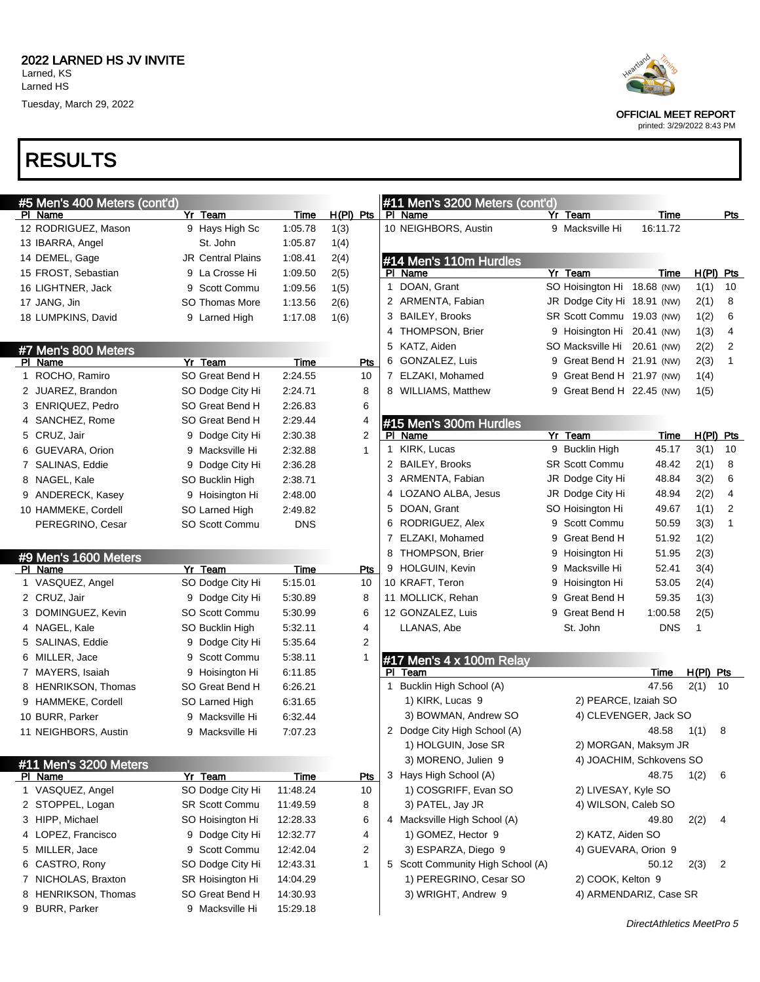

OFFICIAL MEET REPORT

printed: 3/29/2022 8:43 PM

#### RESULTS

| #5 Men's 400 Meters (cont'd)<br>PI Name | Yr Team                            | Time            | $H(PI)$ Pts  | #11 Men's 3200 Meters (cont'd)<br>PI Name |   | Yr Team                     | Time                     |              | Pts         |
|-----------------------------------------|------------------------------------|-----------------|--------------|-------------------------------------------|---|-----------------------------|--------------------------|--------------|-------------|
| 12 RODRIGUEZ, Mason                     | 9 Hays High Sc                     | 1:05.78         | 1(3)         | 10 NEIGHBORS, Austin                      |   | 9 Macksville Hi             | 16:11.72                 |              |             |
| 13 IBARRA, Angel                        | St. John                           | 1:05.87         | 1(4)         |                                           |   |                             |                          |              |             |
| 14 DEMEL, Gage                          | <b>JR Central Plains</b>           | 1:08.41         | 2(4)         |                                           |   |                             |                          |              |             |
| 15 FROST, Sebastian                     | 9 La Crosse Hi                     | 1:09.50         | 2(5)         | #14 Men's 110m Hurdles<br>PI Name         |   | Yr Team                     | Time                     |              | $H(PI)$ Pts |
| 16 LIGHTNER, Jack                       | 9 Scott Commu                      | 1:09.56         | 1(5)         | 1 DOAN, Grant                             |   | SO Hoisington Hi 18.68 (NW) |                          | 1(1)         | 10          |
| 17 JANG, Jin                            | <b>SO Thomas More</b>              | 1:13.56         | 2(6)         | 2 ARMENTA, Fabian                         |   | JR Dodge City Hi 18.91 (NW) |                          | 2(1)         | 8           |
| 18 LUMPKINS, David                      | 9 Larned High                      | 1:17.08         | 1(6)         | 3 BAILEY, Brooks                          |   | SR Scott Commu 19.03 (NW)   |                          | 1(2)         | 6           |
|                                         |                                    |                 |              | 4 THOMPSON, Brier                         |   | 9 Hoisington Hi 20.41 (NW)  |                          | 1(3)         | 4           |
|                                         |                                    |                 |              | 5 KATZ, Aiden                             |   | SO Macksville Hi 20.61 (NW) |                          | 2(2)         | 2           |
| #7 Men's 800 Meters<br>PI Name          | Yr Team                            | Time            | <b>Pts</b>   | 6 GONZALEZ, Luis                          | 9 | Great Bend H 21.91 (NW)     |                          | 2(3)         | 1           |
| 1 ROCHO, Ramiro                         | SO Great Bend H                    | 2:24.55         | 10           | 7 ELZAKI, Mohamed                         | 9 | Great Bend H 21.97 (NW)     |                          | 1(4)         |             |
| 2 JUAREZ, Brandon                       | SO Dodge City Hi                   | 2:24.71         | 8            | 8 WILLIAMS, Matthew                       | 9 | Great Bend H 22.45 (NW)     |                          | 1(5)         |             |
| 3 ENRIQUEZ, Pedro                       | SO Great Bend H                    | 2:26.83         | 6            |                                           |   |                             |                          |              |             |
| 4 SANCHEZ, Rome                         | SO Great Bend H                    | 2:29.44         | 4            |                                           |   |                             |                          |              |             |
| 5 CRUZ, Jair                            | 9 Dodge City Hi                    | 2:30.38         | 2            | #15 Men's 300m Hurdles<br>PI Name         |   | Yr Team                     | Time                     |              | $H(PI)$ Pts |
| 6 GUEVARA, Orion                        | 9 Macksville Hi                    | 2:32.88         | $\mathbf{1}$ | 1 KIRK, Lucas                             |   | 9 Bucklin High              | 45.17                    | 3(1)         | 10          |
| 7 SALINAS, Eddie                        | 9 Dodge City Hi                    | 2:36.28         |              | 2 BAILEY, Brooks                          |   | <b>SR Scott Commu</b>       | 48.42                    | 2(1)         | 8           |
| 8 NAGEL, Kale                           |                                    | 2:38.71         |              | 3 ARMENTA, Fabian                         |   | JR Dodge City Hi            | 48.84                    | 3(2)         | 6           |
|                                         | SO Bucklin High                    |                 |              | 4 LOZANO ALBA, Jesus                      |   | JR Dodge City Hi            | 48.94                    | 2(2)         | 4           |
| 9 ANDERECK, Kasey                       | 9 Hoisington Hi                    | 2:48.00         |              | 5 DOAN, Grant                             |   | SO Hoisington Hi            | 49.67                    | 1(1)         | 2           |
| 10 HAMMEKE, Cordell                     | SO Larned High                     | 2:49.82         |              | 6 RODRIGUEZ, Alex                         |   | 9 Scott Commu               | 50.59                    | 3(3)         | 1           |
| PEREGRINO, Cesar                        | SO Scott Commu                     | <b>DNS</b>      |              | 7 ELZAKI, Mohamed                         | 9 | Great Bend H                | 51.92                    | 1(2)         |             |
|                                         |                                    |                 |              | 8 THOMPSON, Brier                         | 9 | Hoisington Hi               | 51.95                    | 2(3)         |             |
| #9 Men's 1600 Meters                    |                                    |                 |              | 9 HOLGUIN, Kevin                          | 9 | Macksville Hi               | 52.41                    | 3(4)         |             |
| PI Name<br>1 VASQUEZ, Angel             | Yr Team<br>SO Dodge City Hi        | Time<br>5:15.01 | Pts<br>10    | 10 KRAFT, Teron                           | 9 | Hoisington Hi               | 53.05                    | 2(4)         |             |
| 2 CRUZ, Jair                            | 9 Dodge City Hi                    | 5:30.89         | 8            | 11 MOLLICK, Rehan                         | 9 | Great Bend H                | 59.35                    | 1(3)         |             |
| 3 DOMINGUEZ, Kevin                      | SO Scott Commu                     | 5:30.99         | 6            | 12 GONZALEZ, Luis                         | 9 | Great Bend H                | 1:00.58                  | 2(5)         |             |
| 4 NAGEL, Kale                           | SO Bucklin High                    | 5:32.11         | 4            | LLANAS, Abe                               |   | St. John                    | <b>DNS</b>               | $\mathbf{1}$ |             |
| 5 SALINAS, Eddie                        | 9 Dodge City Hi                    | 5:35.64         | 2            |                                           |   |                             |                          |              |             |
| 6 MILLER, Jace                          | 9 Scott Commu                      | 5.38.11         | 1            |                                           |   |                             |                          |              |             |
| 7 MAYERS, Isaiah                        | 9 Hoisington Hi                    | 6:11.85         |              | #17 Men's 4 x 100m Relay<br>PI Team       |   |                             | Time                     | $H(PI)$ Pts  |             |
| 8 HENRIKSON, Thomas                     | SO Great Bend H                    | 6:26.21         |              | 1 Bucklin High School (A)                 |   |                             | 47.56                    | 2(1)         | 10          |
|                                         |                                    | 6:31.65         |              | 1) KIRK, Lucas 9                          |   | 2) PEARCE, Izaiah SO        |                          |              |             |
| 9 HAMMEKE, Cordell<br>10 BURR, Parker   | SO Larned High                     | 6:32.44         |              | 3) BOWMAN, Andrew SO                      |   |                             | 4) CLEVENGER, Jack SO    |              |             |
| 11 NEIGHBORS, Austin                    | 9 Macksville Hi<br>9 Macksville Hi | 7:07.23         |              | 2 Dodge City High School (A)              |   |                             | 48.58                    | 1(1)         | 8           |
|                                         |                                    |                 |              | 1) HOLGUIN, Jose SR                       |   |                             | 2) MORGAN, Maksym JR     |              |             |
|                                         |                                    |                 |              | 3) MORENO, Julien 9                       |   |                             | 4) JOACHIM, Schkovens SO |              |             |
| #11 Men's 3200 Meters                   |                                    |                 |              | 3 Hays High School (A)                    |   |                             | 48.75                    |              | 6           |
| PI Name                                 | Yr Team                            | Time            | <u>Pts</u>   |                                           |   | 2) LIVESAY, Kyle SO         |                          | 1(2)         |             |
| 1 VASQUEZ, Angel                        | SO Dodge City Hi                   | 11:48.24        | 10           | 1) COSGRIFF, Evan SO                      |   |                             |                          |              |             |
| 2 STOPPEL, Logan<br>3 HIPP, Michael     | <b>SR Scott Commu</b>              | 11:49.59        | 8            | 3) PATEL, Jay JR                          |   | 4) WILSON, Caleb SO         |                          |              |             |
|                                         | SO Hoisington Hi                   | 12:28.33        | 6            | 4 Macksville High School (A)              |   |                             | 49.80                    | 2(2)         | 4           |
| 4 LOPEZ, Francisco                      | 9 Dodge City Hi                    | 12:32.77        | 4            | 1) GOMEZ, Hector 9                        |   | 2) KATZ, Aiden SO           |                          |              |             |
| 5 MILLER, Jace                          | 9 Scott Commu                      | 12:42.04        | 2            | 3) ESPARZA, Diego 9                       |   | 4) GUEVARA, Orion 9         |                          |              |             |
| 6 CASTRO, Rony                          | SO Dodge City Hi                   | 12:43.31        | 1            | 5 Scott Community High School (A)         |   |                             | 50.12                    | 2(3)         | 2           |
| 7 NICHOLAS, Braxton                     | SR Hoisington Hi                   | 14:04.29        |              | 1) PEREGRINO, Cesar SO                    |   | 2) COOK, Kelton 9           |                          |              |             |
| 8 HENRIKSON, Thomas                     | SO Great Bend H                    | 14:30.93        |              | 3) WRIGHT, Andrew 9                       |   |                             | 4) ARMENDARIZ, Case SR   |              |             |
| 9 BURR, Parker                          | 9 Macksville Hi                    | 15:29.18        |              |                                           |   |                             |                          |              |             |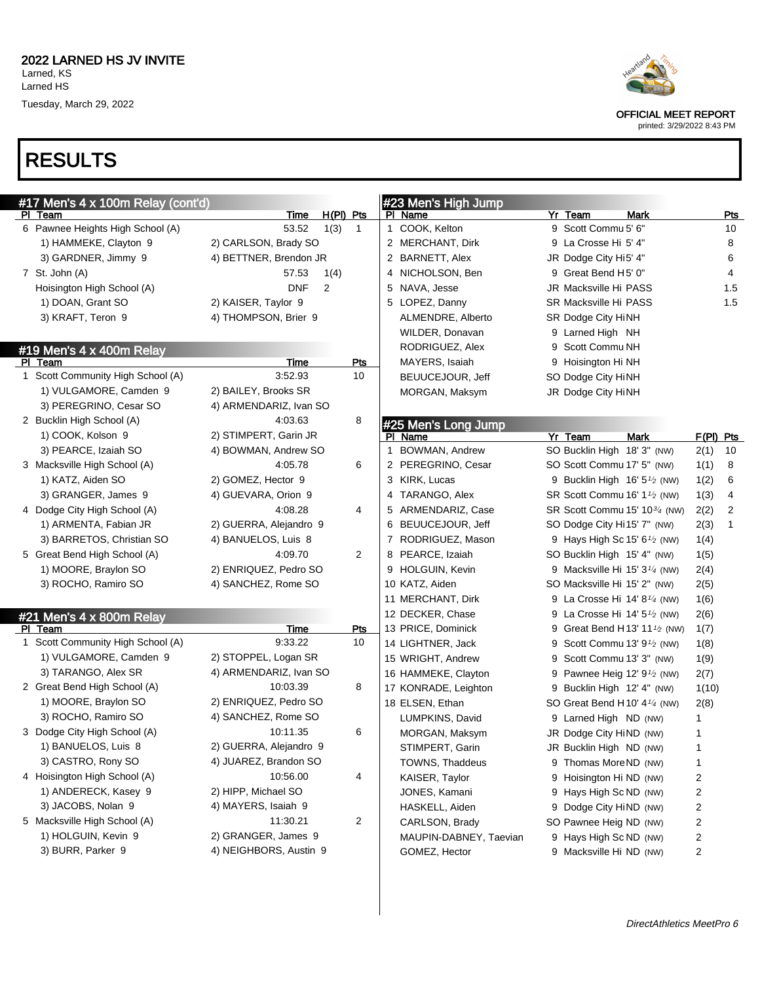# RESULTS



OFFICIAL MEET REPORT

| #17 Men's 4 x 100m Relay (cont'd)  |                        |              | #23 Men's High Jump        |                                                       |                                                       |            |
|------------------------------------|------------------------|--------------|----------------------------|-------------------------------------------------------|-------------------------------------------------------|------------|
| PI Team                            | <u>Time</u>            | H(PI) Pts    | PI Name                    | Yr Team                                               | Mark                                                  | <u>Pts</u> |
| 6 Pawnee Heights High School (A)   | 53.52<br>1(3)          | $\mathbf{1}$ | 1 COOK, Kelton             | 9 Scott Commu 5' 6"                                   |                                                       | 10         |
| 1) HAMMEKE, Clayton 9              | 2) CARLSON, Brady SO   |              | 2 MERCHANT, Dirk           | 9 La Crosse Hi 5' 4"                                  |                                                       | 8          |
| 3) GARDNER, Jimmy 9                | 4) BETTNER, Brendon JR |              | 2 BARNETT, Alex            | JR Dodge City Hi5' 4"                                 |                                                       | 6          |
| 7 St. John (A)                     | 57.53<br>1(4)          |              | 4 NICHOLSON, Ben           | 9 Great Bend H5' 0"                                   |                                                       | 4          |
| Hoisington High School (A)         | <b>DNF</b><br>2        |              | 5 NAVA, Jesse              | JR Macksville Hi PASS                                 |                                                       | 1.5        |
| 1) DOAN, Grant SO                  | 2) KAISER, Taylor 9    |              | 5 LOPEZ, Danny             | SR Macksville Hi PASS                                 |                                                       | 1.5        |
| 3) KRAFT, Teron 9                  | 4) THOMPSON, Brier 9   |              | ALMENDRE, Alberto          | SR Dodge City HiNH                                    |                                                       |            |
|                                    |                        |              | WILDER, Donavan            | 9 Larned High NH                                      |                                                       |            |
| #19 Men's 4 x 400m Relay           |                        |              | RODRIGUEZ, Alex            | 9 Scott Commu NH                                      |                                                       |            |
| PI Team                            | Time                   | <b>Pts</b>   | MAYERS, Isaiah             | 9 Hoisington Hi NH                                    |                                                       |            |
| 1 Scott Community High School (A)  | 3:52.93                | 10           | BEUUCEJOUR, Jeff           | SO Dodge City HiNH                                    |                                                       |            |
| 1) VULGAMORE, Camden 9             | 2) BAILEY, Brooks SR   |              | MORGAN, Maksym             | JR Dodge City HiNH                                    |                                                       |            |
| 3) PEREGRINO, Cesar SO             | 4) ARMENDARIZ, Ivan SO |              |                            |                                                       |                                                       |            |
| 2 Bucklin High School (A)          | 4:03.63                | 8            | #25 Men's Long Jump        |                                                       |                                                       |            |
| 1) COOK, Kolson 9                  | 2) STIMPERT, Garin JR  |              | PI Name                    | Yr Team                                               | <b>Mark</b>                                           | F(PI) Pts  |
| 3) PEARCE, Izaiah SO               | 4) BOWMAN, Andrew SO   |              | <b>BOWMAN, Andrew</b><br>1 | SO Bucklin High 18' 3" (NW)                           |                                                       | 2(1)<br>10 |
| 3 Macksville High School (A)       | 4:05.78                | 6            | 2 PEREGRINO, Cesar         | SO Scott Commu 17' 5" (NW)                            |                                                       | 1(1)<br>8  |
| 1) KATZ, Aiden SO                  | 2) GOMEZ, Hector 9     |              | 3 KIRK, Lucas              |                                                       | 9 Bucklin High $16'5'$ (NW)                           | 1(2)<br>6  |
| 3) GRANGER, James 9                | 4) GUEVARA, Orion 9    |              | 4 TARANGO, Alex            | SR Scott Commu 16' 1 <sup>1</sup> / <sub>2</sub> (NW) |                                                       | 4<br>1(3)  |
| 4 Dodge City High School (A)       | 4:08.28                | 4            | 5 ARMENDARIZ, Case         |                                                       | SR Scott Commu 15' 10 <sup>3/4</sup> (NW)             | 2(2)<br>2  |
| 1) ARMENTA, Fabian JR              | 2) GUERRA, Alejandro 9 |              | BEUUCEJOUR, Jeff<br>6      | SO Dodge City Hi 15' 7" (NW)                          |                                                       | 1<br>2(3)  |
| 3) BARRETOS, Christian SO          | 4) BANUELOS, Luis 8    |              | 7 RODRIGUEZ, Mason         |                                                       | 9 Hays High Sc 15' 6 <sup>1</sup> / <sub>2</sub> (NW) | 1(4)       |
| 5 Great Bend High School (A)       | 4:09.70                | 2            | 8 PEARCE, Izaiah           | SO Bucklin High 15' 4" (NW)                           |                                                       | 1(5)       |
| 1) MOORE, Braylon SO               | 2) ENRIQUEZ, Pedro SO  |              | 9 HOLGUIN, Kevin           |                                                       | 9 Macksville Hi 15' $3\frac{1}{4}$ (NW)               | 2(4)       |
| 3) ROCHO, Ramiro SO                | 4) SANCHEZ, Rome SO    |              | 10 KATZ, Aiden             | SO Macksville Hi 15' 2" (NW)                          |                                                       | 2(5)       |
|                                    |                        |              | 11 MERCHANT, Dirk          |                                                       | 9 La Crosse Hi 14' 8 <sup>1/4</sup> (NW)              | 1(6)       |
| $#21$ Men's $4 \times 800$ m Relay |                        |              | 12 DECKER, Chase           |                                                       | 9 La Crosse Hi 14' 5 <sup>1</sup> / <sub>2</sub> (NW) | 2(6)       |
| PI Team                            | Time                   | Pts          | 13 PRICE, Dominick         |                                                       | 9 Great Bend H13' 11 <sup>1/2</sup> (NW)              | 1(7)       |
| 1 Scott Community High School (A)  | 9:33.22                | 10           | 14 LIGHTNER, Jack          |                                                       | 9 Scott Commu 13' 9 <sup>1</sup> / <sub>2</sub> (NW)  | 1(8)       |
| 1) VULGAMORE, Camden 9             | 2) STOPPEL, Logan SR   |              | 15 WRIGHT, Andrew          | 9 Scott Commu 13' 3" (NW)                             |                                                       | 1(9)       |
| 3) TARANGO, Alex SR                | 4) ARMENDARIZ, Ivan SO |              | 16 HAMMEKE, Clayton        |                                                       | 9 Pawnee Heig 12' $9\frac{1}{2}$ (NW)                 | 2(7)       |
| 2 Great Bend High School (A)       | 10:03.39               | 8            | 17 KONRADE, Leighton       | 9 Bucklin High 12' 4" (NW)                            |                                                       | 1(10)      |
| 1) MOORE, Braylon SO               | 2) ENRIQUEZ, Pedro SO  |              | 18 ELSEN, Ethan            | SO Great Bend H 10' $4\frac{1}{4}$ (NW)               |                                                       | 2(8)       |
| 3) ROCHO, Ramiro SO                | 4) SANCHEZ, Rome SO    |              | LUMPKINS, David            | 9 Larned High ND (NW)                                 |                                                       | 1          |
| 3 Dodge City High School (A)       | 10:11.35               | 6            | MORGAN, Maksym             | JR Dodge City HiND (NW)                               |                                                       | 1          |
| 1) BANUELOS, Luis 8                | 2) GUERRA, Alejandro 9 |              | STIMPERT, Garin            | JR Bucklin High ND (NW)                               |                                                       | 1          |
| 3) CASTRO, Rony SO                 | 4) JUAREZ, Brandon SO  |              | TOWNS, Thaddeus            | 9 Thomas MoreND (NW)                                  |                                                       | 1          |
| 4 Hoisington High School (A)       | 10:56.00               | 4            | KAISER, Taylor             | 9 Hoisington Hi ND (NW)                               |                                                       | 2          |
| 1) ANDERECK, Kasey 9               | 2) HIPP, Michael SO    |              | JONES, Kamani              | 9 Hays High Sc ND (NW)                                |                                                       | 2          |
| 3) JACOBS, Nolan 9                 | 4) MAYERS, Isaiah 9    |              | HASKELL, Aiden             | 9 Dodge City HiND (NW)                                |                                                       | 2          |
| 5 Macksville High School (A)       | 11:30.21               | 2            | CARLSON, Brady             | SO Pawnee Heig ND (NW)                                |                                                       | 2          |
| 1) HOLGUIN, Kevin 9                | 2) GRANGER, James 9    |              | MAUPIN-DABNEY, Taevian     | 9 Hays High Sc ND (NW)                                |                                                       | 2          |
| 3) BURR, Parker 9                  | 4) NEIGHBORS, Austin 9 |              | GOMEZ, Hector              | 9 Macksville Hi ND (NW)                               |                                                       | 2          |
|                                    |                        |              |                            |                                                       |                                                       |            |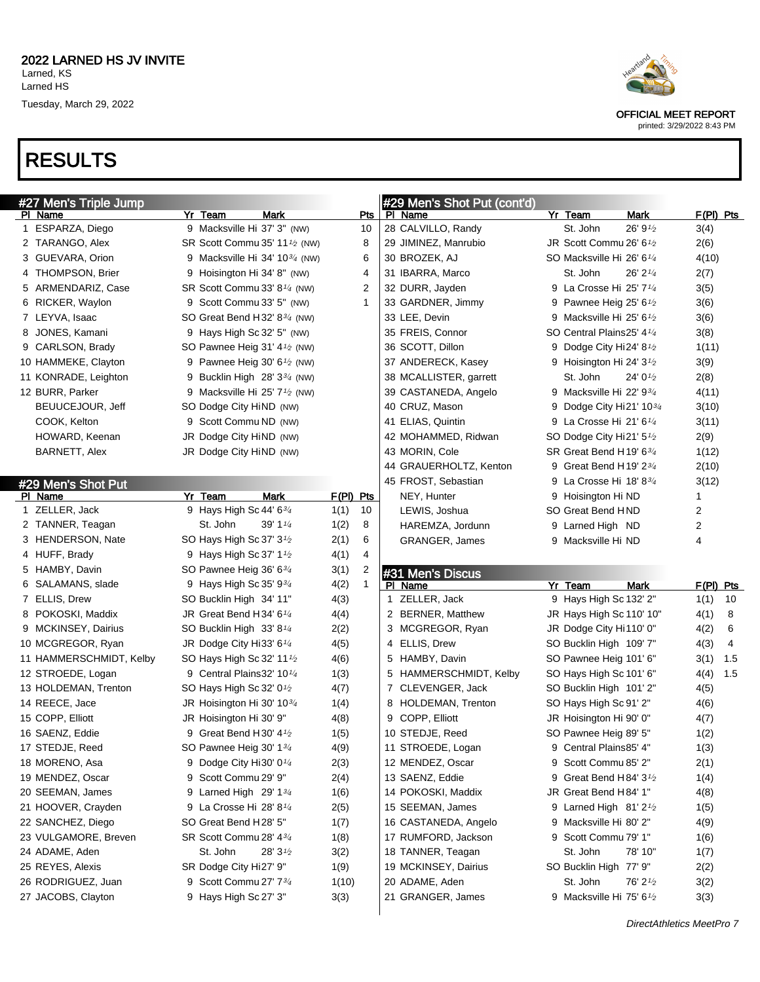



OFFICIAL MEET REPORT

| #27 Men's Triple Jump   |                                                        |                      | #29 Men's Shot Put (cont'd) |         |                                                   |                       |             |     |
|-------------------------|--------------------------------------------------------|----------------------|-----------------------------|---------|---------------------------------------------------|-----------------------|-------------|-----|
| PI Name                 | Yr Team<br>Mark                                        | <b>Pts</b>           | PI Name                     | Yr Team |                                                   | Mark                  | $F(PI)$ Pts |     |
| 1 ESPARZA, Diego        | 9 Macksville Hi 37' 3" (NW)                            | 10                   | 28 CALVILLO, Randy          |         | St. John                                          | 26'9'2                | 3(4)        |     |
| 2 TARANGO, Alex         | SR Scott Commu 35' 11 <sup>1</sup> / <sub>2</sub> (NW) | 8                    | 29 JIMINEZ, Manrubio        |         | JR Scott Commu 26' 6 <sup>1</sup> /2              |                       | 2(6)        |     |
| 3 GUEVARA, Orion        | 9 Macksville Hi 34' 10 $\frac{3}{4}$ (NW)              | 6                    | 30 BROZEK, AJ               |         | SO Macksville Hi 26' 6 <sup>1/4</sup>             |                       | 4(10)       |     |
| 4 THOMPSON, Brier       | 9 Hoisington Hi 34' 8" (NW)                            | 4                    | 31 IBARRA, Marco            |         | St. John                                          | $26'$ 2 $\frac{1}{4}$ | 2(7)        |     |
| 5 ARMENDARIZ, Case      | SR Scott Commu 33' 8 <sup>1/4</sup> (NW)               | 2                    | 32 DURR, Jayden             |         | 9 La Crosse Hi 25' 71/4                           |                       | 3(5)        |     |
| 6 RICKER, Waylon        | 9 Scott Commu 33' 5" (NW)                              | 1                    | 33 GARDNER, Jimmy           |         | 9 Pawnee Heig 25' $6\frac{1}{2}$                  |                       | 3(6)        |     |
| 7 LEYVA, Isaac          | SO Great Bend H32' $8\frac{3}{4}$ (NW)                 |                      | 33 LEE, Devin               |         | 9 Macksville Hi 25' 61/2                          |                       | 3(6)        |     |
| 8 JONES, Kamani         | 9 Hays High Sc 32' 5" (NW)                             |                      | 35 FREIS, Connor            |         | SO Central Plains25' 41/4                         |                       | 3(8)        |     |
| 9 CARLSON, Brady        | SO Pawnee Heig 31' 4 <sup>1</sup> / <sub>2</sub> (NW)  |                      | 36 SCOTT, Dillon            |         | 9 Dodge City Hi24' $8\frac{1}{2}$                 |                       | 1(11)       |     |
| 10 HAMMEKE, Clayton     | 9 Pawnee Heig 30' $6\frac{1}{2}$ (NW)                  |                      | 37 ANDERECK, Kasey          |         | 9 Hoisington Hi 24' 3 <sup>1</sup> /2             |                       | 3(9)        |     |
| 11 KONRADE, Leighton    | 9 Bucklin High $28'3^{3/4}$ (NW)                       |                      | 38 MCALLISTER, garrett      |         | St. John                                          | 24' $0\frac{1}{2}$    | 2(8)        |     |
| 12 BURR, Parker         | 9 Macksville Hi 25' 7 <sup>1</sup> / <sub>2</sub> (NW) |                      | 39 CASTANEDA, Angelo        |         | 9 Macksville Hi 22' 9 <sup>3</sup> / <sub>4</sub> |                       | 4(11)       |     |
| BEUUCEJOUR, Jeff        | SO Dodge City HiND (NW)                                |                      | 40 CRUZ, Mason              |         | 9 Dodge City Hi21' $10\frac{3}{4}$                |                       | 3(10)       |     |
| COOK, Kelton            | 9 Scott Commu ND (NW)                                  |                      | 41 ELIAS, Quintin           |         | 9 La Crosse Hi 21' 6 $\frac{1}{4}$                |                       | 3(11)       |     |
| HOWARD, Keenan          | JR Dodge City HiND (NW)                                |                      | 42 MOHAMMED, Ridwan         |         | SO Dodge City Hi21' 5 <sup>1</sup> /2             |                       | 2(9)        |     |
| BARNETT, Alex           | JR Dodge City HiND (NW)                                |                      | 43 MORIN, Cole              |         | SR Great Bend H19' 634                            |                       | 1(12)       |     |
|                         |                                                        |                      | 44 GRAUERHOLTZ, Kenton      |         | 9 Great Bend H19' $2\frac{3}{4}$                  |                       | 2(10)       |     |
| #29 Men's Shot Put      |                                                        |                      | 45 FROST, Sebastian         |         | 9 La Crosse Hi 18'834                             |                       | 3(12)       |     |
| PI Name                 | <b>Mark</b><br>Yr Team                                 | $F(PI)$ Pts          | NEY, Hunter                 |         | 9 Hoisington Hi ND                                |                       | 1           |     |
| 1 ZELLER, Jack          | 9 Hays High Sc 44' 63/4                                | 1(1)<br>10           | LEWIS, Joshua               |         | SO Great Bend HND                                 |                       | 2           |     |
| 2 TANNER, Teagan        | St. John<br>39' 1 1/4                                  | 1(2)<br>8            | HAREMZA, Jordunn            |         | 9 Larned High ND                                  |                       | 2           |     |
| 3 HENDERSON, Nate       | SO Hays High Sc 37' 3 <sup>1</sup> /2                  | 2(1)<br>6            | <b>GRANGER, James</b>       |         | 9 Macksville Hi ND                                |                       | 4           |     |
| 4 HUFF, Brady           | 9 Hays High Sc 37' 11/2                                | 4(1)<br>4            |                             |         |                                                   |                       |             |     |
| 5 HAMBY, Davin          | SO Pawnee Heig 36' 63/4                                | 3(1)<br>2            |                             |         |                                                   |                       |             |     |
| 6 SALAMANS, slade       | 9 Hays High Sc 35' 934                                 | 4(2)<br>$\mathbf{1}$ | #31 Men's Discus<br>PI Name | Yr Team |                                                   | <b>Mark</b>           | $F(PI)$ Pts |     |
| 7 ELLIS, Drew           | SO Bucklin High 34' 11"                                | 4(3)                 | 1 ZELLER, Jack              |         | 9 Hays High Sc 132' 2"                            |                       | 1(1)        | 10  |
| 8 POKOSKI, Maddix       | JR Great Bend H34' 6 <sup>1/4</sup>                    | 4(4)                 | 2 BERNER, Matthew           |         | JR Hays High Sc 110' 10"                          |                       | 4(1)        | 8   |
| 9 MCKINSEY, Dairius     | SO Bucklin High 33' 81/4                               | 2(2)                 | 3 MCGREGOR, Ryan            |         | JR Dodge City Hi110' 0"                           |                       | 4(2)        | 6   |
| 10 MCGREGOR, Ryan       | JR Dodge City Hi33' 61/4                               | 4(5)                 | 4 ELLIS, Drew               |         | SO Bucklin High 109' 7"                           |                       | 4(3)        | 4   |
| 11 HAMMERSCHMIDT, Kelby | SO Hays High Sc 32' 11 <sup>1</sup> /2                 | 4(6)                 | 5 HAMBY, Davin              |         | SO Pawnee Heig 101' 6"                            |                       | 3(1)        | 1.5 |
| 12 STROEDE, Logan       | 9 Central Plains 32' 10 <sup>1/4</sup>                 | 1(3)                 | 5 HAMMERSCHMIDT, Kelby      |         | SO Hays High Sc 101' 6"                           |                       | 4(4)        | 1.5 |
| 13 HOLDEMAN, Trenton    | SO Hays High Sc 32' 0 <sup>1</sup> /2                  | 4(7)                 | 7 CLEVENGER, Jack           |         | SO Bucklin High 101' 2"                           |                       | 4(5)        |     |
| 14 REECE, Jace          | JR Hoisington Hi 30' 103/4                             | 1(4)                 | 8 HOLDEMAN, Trenton         |         | SO Hays High Sc 91' 2"                            |                       | 4(6)        |     |
| 15 COPP, Elliott        | JR Hoisington Hi 30' 9"                                | 4(8)                 | 9 COPP, Elliott             |         | JR Hoisington Hi 90' 0"                           |                       | 4(7)        |     |
| 16 SAENZ, Eddie         | 9 Great Bend H30' 4 <sup>1/2</sup>                     | 1(5)                 | 10 STEDJE, Reed             |         | SO Pawnee Heig 89' 5"                             |                       |             |     |
| 17 STEDJE, Reed         | SO Pawnee Heig 30' 134                                 | 4(9)                 | 11 STROEDE, Logan           |         |                                                   |                       | 1(2)        |     |
| 18 MORENO, Asa          |                                                        |                      |                             |         | 9 Central Plains85' 4"<br>9 Scott Commu 85' 2"    |                       | 1(3)        |     |
|                         | 9 Dodge City Hi30' 0 <sup>1/4</sup>                    | 2(3)                 | 12 MENDEZ, Oscar            |         | 9 Great Bend H84' 3 <sup>1</sup> /2               |                       | 2(1)        |     |
| 19 MENDEZ, Oscar        | 9 Scott Commu 29' 9"                                   | 2(4)                 | 13 SAENZ, Eddie             |         |                                                   |                       | 1(4)        |     |
| 20 SEEMAN, James        | 9 Larned High 29' 13/4                                 | 1(6)                 | 14 POKOSKI, Maddix          |         | JR Great Bend H84' 1"                             |                       | 4(8)        |     |
| 21 HOOVER, Crayden      | 9 La Crosse Hi 28' 81/4                                | 2(5)                 | 15 SEEMAN, James            |         | 9 Larned High $81'2'$                             |                       | 1(5)        |     |
| 22 SANCHEZ, Diego       | SO Great Bend H28' 5"                                  | 1(7)                 | 16 CASTANEDA, Angelo        |         | 9 Macksville Hi 80' 2"                            |                       | 4(9)        |     |
| 23 VULGAMORE, Breven    | SR Scott Commu 28' 434                                 | 1(8)                 | 17 RUMFORD, Jackson         |         | 9 Scott Commu 79' 1"                              |                       | 1(6)        |     |
| 24 ADAME, Aden          | St. John<br>28'3'2                                     | 3(2)                 | 18 TANNER, Teagan           |         | St. John                                          | 78' 10"               | 1(7)        |     |
| 25 REYES, Alexis        | SR Dodge City Hi27' 9"                                 | 1(9)                 | 19 MCKINSEY, Dairius        |         | SO Bucklin High 77' 9"                            |                       | 2(2)        |     |
|                         |                                                        |                      |                             |         |                                                   |                       |             |     |
| 26 RODRIGUEZ, Juan      | 9 Scott Commu 27' 73/4                                 | 1(10)                | 20 ADAME, Aden              |         | St. John                                          | 76' 21/2              | 3(2)        |     |
| 27 JACOBS, Clayton      | 9 Hays High Sc 27' 3"                                  | 3(3)                 | 21 GRANGER, James           |         | 9 Macksville Hi 75' 61/2                          |                       | 3(3)        |     |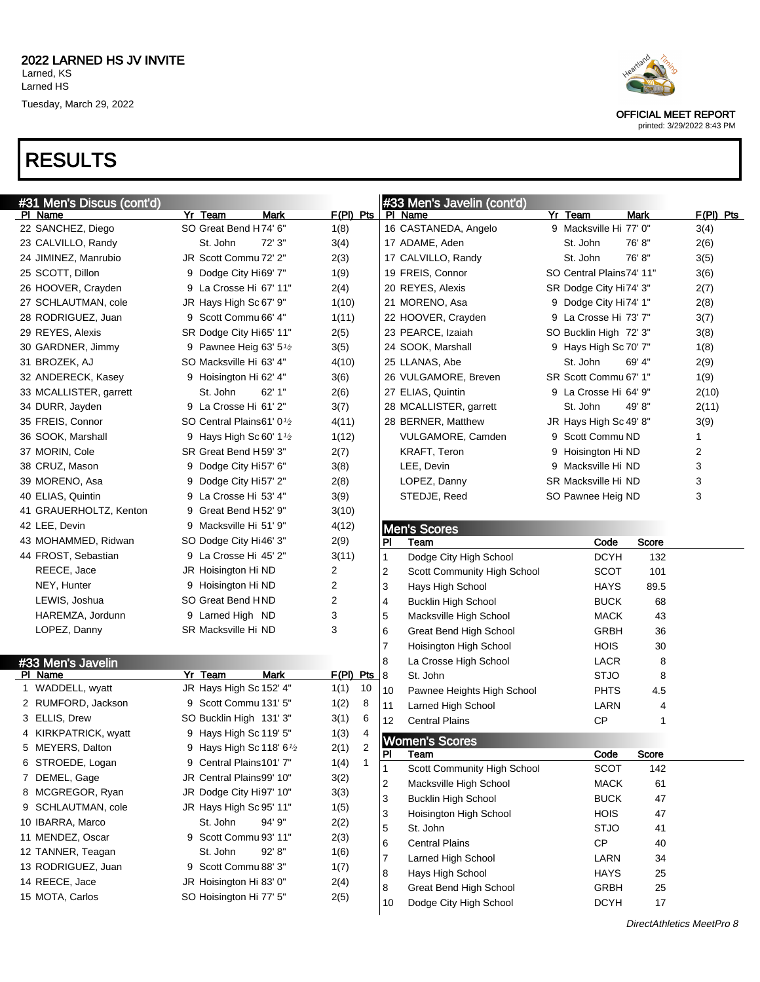### RESULTS

| #31 Men's Discus (cont'd)    |                                          |             | #33 Men's Javelin (cont'd)       |                                      |                |             |
|------------------------------|------------------------------------------|-------------|----------------------------------|--------------------------------------|----------------|-------------|
| PI Name<br>22 SANCHEZ, Diego | Yr Team<br>Mark<br>SO Great Bend H74' 6" | $F(PI)$ Pts | PI Name<br>16 CASTANEDA, Angelo  | Yr Team<br>9 Macksville Hi 77' 0"    | <b>Mark</b>    | $F(PI)$ Pts |
|                              | St. John<br>72' 3"                       | 1(8)        |                                  | St. John                             | 76'8"          | 3(4)        |
| 23 CALVILLO, Randy           |                                          | 3(4)        | 17 ADAME, Aden                   |                                      | 76'8"          | 2(6)        |
| 24 JIMINEZ, Manrubio         | JR Scott Commu 72' 2"                    | 2(3)        | 17 CALVILLO, Randy               | St. John<br>SO Central Plains74' 11" |                | 3(5)        |
| 25 SCOTT, Dillon             | 9 Dodge City Hi69' 7"                    | 1(9)        | 19 FREIS, Connor                 |                                      |                | 3(6)        |
| 26 HOOVER, Crayden           | 9 La Crosse Hi 67' 11"                   | 2(4)        | 20 REYES, Alexis                 | SR Dodge City Hi74' 3"               |                | 2(7)        |
| 27 SCHLAUTMAN, cole          | JR Hays High Sc 67' 9"                   | 1(10)       | 21 MORENO, Asa                   | 9 Dodge City Hi74' 1"                |                | 2(8)        |
| 28 RODRIGUEZ, Juan           | 9 Scott Commu 66' 4"                     | 1(11)       | 22 HOOVER, Crayden               | 9 La Crosse Hi 73' 7"                |                | 3(7)        |
| 29 REYES, Alexis             | SR Dodge City Hi65' 11"                  | 2(5)        | 23 PEARCE, Izaiah                | SO Bucklin High 72' 3"               |                | 3(8)        |
| 30 GARDNER, Jimmy            | 9 Pawnee Heig 63' $5\frac{1}{2}$         | 3(5)        | 24 SOOK, Marshall                | 9 Hays High Sc 70' 7"                |                | 1(8)        |
| 31 BROZEK, AJ                | SO Macksville Hi 63' 4"                  | 4(10)       | 25 LLANAS, Abe                   | St. John                             | 69' 4"         | 2(9)        |
| 32 ANDERECK, Kasey           | 9 Hoisington Hi 62' 4"                   | 3(6)        | 26 VULGAMORE, Breven             | SR Scott Commu 67' 1"                |                | 1(9)        |
| 33 MCALLISTER, garrett       | St. John<br>62' 1"                       | 2(6)        | 27 ELIAS, Quintin                | 9 La Crosse Hi 64' 9"                |                | 2(10)       |
| 34 DURR, Jayden              | 9 La Crosse Hi 61' 2"                    | 3(7)        | 28 MCALLISTER, garrett           | St. John                             | 49'8"          | 2(11)       |
| 35 FREIS, Connor             | SO Central Plains61' 0 <sup>1</sup> /2   | 4(11)       | 28 BERNER, Matthew               | JR Hays High Sc 49' 8"               |                | 3(9)        |
| 36 SOOK, Marshall            | 9 Hays High Sc 60' $1\frac{1}{2}$        | 1(12)       | VULGAMORE, Camden                | 9 Scott Commu ND                     |                | 1           |
| 37 MORIN, Cole               | SR Great Bend H59' 3"                    | 2(7)        | KRAFT, Teron                     | 9 Hoisington Hi ND                   |                | 2           |
| 38 CRUZ, Mason               | 9 Dodge City Hi57' 6"                    | 3(8)        | LEE, Devin                       | 9 Macksville Hi ND                   |                | 3           |
| 39 MORENO, Asa               | 9 Dodge City Hi57' 2"                    | 2(8)        | LOPEZ, Danny                     | SR Macksville Hi ND                  |                | 3           |
| 40 ELIAS, Quintin            | 9 La Crosse Hi 53' 4"                    | 3(9)        | STEDJE, Reed                     | SO Pawnee Heig ND                    |                | 3           |
| 41 GRAUERHOLTZ, Kenton       | 9 Great Bend H52' 9"                     | 3(10)       |                                  |                                      |                |             |
| 42 LEE, Devin                | 9 Macksville Hi 51' 9"                   | 4(12)       | <b>Men's Scores</b>              |                                      |                |             |
| 43 MOHAMMED, Ridwan          | SO Dodge City Hi46' 3"                   | 2(9)        | PI<br>Team                       | Code                                 | Score          |             |
| 44 FROST, Sebastian          | 9 La Crosse Hi 45' 2"                    | 3(11)       | Dodge City High School<br>1      | <b>DCYH</b>                          | 132            |             |
| REECE, Jace                  | JR Hoisington Hi ND                      | 2           | 2<br>Scott Community High School | <b>SCOT</b>                          | 101            |             |
| NEY, Hunter                  | 9 Hoisington Hi ND                       | 2           | 3<br>Hays High School            | <b>HAYS</b>                          | 89.5           |             |
| LEWIS, Joshua                | SO Great Bend HND                        | 2           | 4<br><b>Bucklin High School</b>  | <b>BUCK</b>                          | 68             |             |
| HAREMZA, Jordunn             | 9 Larned High ND                         | 3           | 5<br>Macksville High School      | <b>MACK</b>                          | 43             |             |
| LOPEZ, Danny                 | SR Macksville Hi ND                      | 3           | 6<br>Great Bend High School      | <b>GRBH</b>                          | 36             |             |
|                              |                                          |             | 7<br>Hoisington High School      | <b>HOIS</b>                          | 30             |             |
| #33 Men's Javelin            |                                          |             | 8<br>La Crosse High School       | LACR                                 | 8              |             |
| PI Name                      | <b>Mark</b><br>Yr Team                   | F(PI) Pts   | 8<br>St. John                    | <b>STJO</b>                          | 8              |             |
| 1 WADDELL, wyatt             | JR Hays High Sc 152' 4"                  | 10<br>1(1)  | 10<br>Pawnee Heights High School | <b>PHTS</b>                          | 4.5            |             |
| 2 RUMFORD, Jackson           | 9 Scott Commu 131' 5"                    | 1(2)<br>8   | 11<br>Larned High School         | LARN                                 | $\overline{4}$ |             |
| 3 ELLIS, Drew                | SO Bucklin High 131' 3"                  | 3(1)<br>6   | 12<br><b>Central Plains</b>      | <b>CP</b>                            | 1              |             |
| 4 KIRKPATRICK, wyatt         | 9 Hays High Sc 119' 5"                   | 1(3)<br>4   | <b>Women's Scores</b>            |                                      |                |             |
| 5 MEYERS, Dalton             | 9 Hays High Sc 118' 6 <sup>1</sup> /2    | 2(1)<br>2   | PI<br>Team                       | Code                                 | Score          |             |
| 6 STROEDE, Logan             | 9 Central Plains101' 7"                  | 1(4)<br>1   | Scott Community High School<br>1 | <b>SCOT</b>                          | 142            |             |
| 7 DEMEL, Gage                | JR Central Plains99' 10"                 | 3(2)        | Macksville High School<br>2      | <b>MACK</b>                          | 61             |             |
| 8 MCGREGOR, Ryan             | JR Dodge City Hi97' 10"                  | 3(3)        | 3<br><b>Bucklin High School</b>  | <b>BUCK</b>                          | 47             |             |
| 9 SCHLAUTMAN, cole           | JR Hays High Sc 95' 11"                  | 1(5)        | 3<br>Hoisington High School      | <b>HOIS</b>                          | 47             |             |
| 10 IBARRA, Marco             | St. John<br>94' 9"                       | 2(2)        | 5<br>St. John                    | <b>STJO</b>                          | 41             |             |
| 11 MENDEZ, Oscar             | 9 Scott Commu 93' 11"                    | 2(3)        | 6<br><b>Central Plains</b>       | <b>CP</b>                            | 40             |             |
| 12 TANNER, Teagan            | St. John<br>92' 8"                       | 1(6)        | Larned High School<br>7          | LARN                                 | 34             |             |
| 13 RODRIGUEZ, Juan           | 9 Scott Commu 88' 3"                     | 1(7)        | 8<br>Hays High School            | <b>HAYS</b>                          | 25             |             |
| 14 REECE, Jace               | JR Hoisington Hi 83' 0"                  | 2(4)        | 8<br>Great Bend High School      | <b>GRBH</b>                          | 25             |             |
|                              |                                          | 2(5)        |                                  |                                      |                |             |



OFFICIAL MEET REPORT